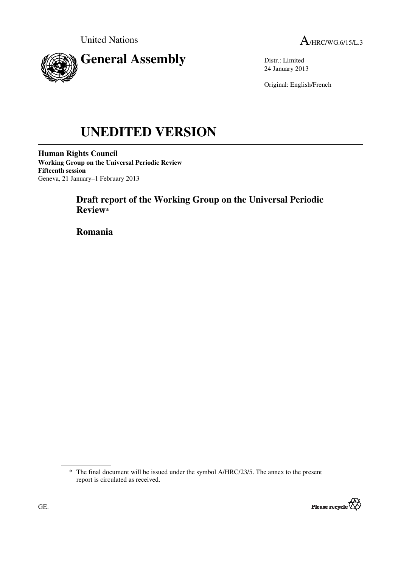

Distr.: Limited 24 January 2013

Original: English/French

# **UNEDITED VERSION**

**Human Rights Council Working Group on the Universal Periodic Review Fifteenth session**  Geneva, 21 January–1 February 2013

# **Draft report of the Working Group on the Universal Periodic Review\***

 **Romania** 

<sup>\*</sup> The final document will be issued under the symbol A/HRC/23/5. The annex to the present report is circulated as received.

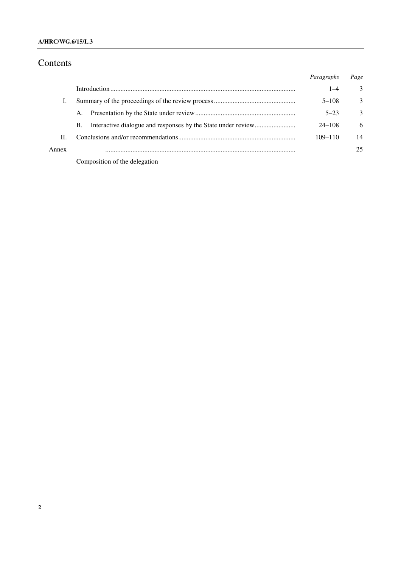### **A/HRC/WG.6/15/L.3**

# Contents

|       |                               | Paragraphs  | Page |
|-------|-------------------------------|-------------|------|
|       |                               | $1 - 4$     | 3    |
|       |                               | $5 - 108$   | 3    |
|       | A.                            | $5 - 23$    | 3    |
|       | В.                            | $24 - 108$  | 6    |
| Π.    |                               | $109 - 110$ | 14   |
| Annex |                               |             | 25   |
|       | Composition of the delegation |             |      |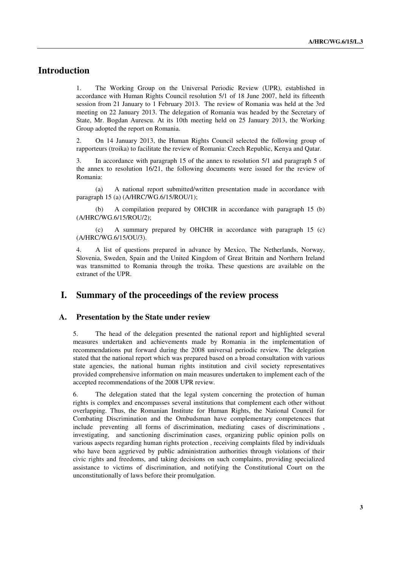# **Introduction**

1. The Working Group on the Universal Periodic Review (UPR), established in accordance with Human Rights Council resolution 5/1 of 18 June 2007, held its fifteenth session from 21 January to 1 February 2013. The review of Romania was held at the 3rd meeting on 22 January 2013. The delegation of Romania was headed by the Secretary of State, Mr. Bogdan Aurescu. At its 10th meeting held on 25 January 2013, the Working Group adopted the report on Romania.

2. On 14 January 2013, the Human Rights Council selected the following group of rapporteurs (troika) to facilitate the review of Romania: Czech Republic, Kenya and Qatar.

3. In accordance with paragraph 15 of the annex to resolution 5/1 and paragraph 5 of the annex to resolution 16/21, the following documents were issued for the review of Romania:

 (a) A national report submitted/written presentation made in accordance with paragraph 15 (a) (A/HRC/WG.6/15/ROU/1);

 (b) A compilation prepared by OHCHR in accordance with paragraph 15 (b) (A/HRC/WG.6/15/ROU/2);

 (c) A summary prepared by OHCHR in accordance with paragraph 15 (c) (A/HRC/WG.6/15/OU/3).

4. A list of questions prepared in advance by Mexico, The Netherlands, Norway, Slovenia, Sweden, Spain and the United Kingdom of Great Britain and Northern Ireland was transmitted to Romania through the troika. These questions are available on the extranet of the UPR.

## **I. Summary of the proceedings of the review process**

#### **A. Presentation by the State under review**

5. The head of the delegation presented the national report and highlighted several measures undertaken and achievements made by Romania in the implementation of recommendations put forward during the 2008 universal periodic review. The delegation stated that the national report which was prepared based on a broad consultation with various state agencies, the national human rights institution and civil society representatives provided comprehensive information on main measures undertaken to implement each of the accepted recommendations of the 2008 UPR review.

6. The delegation stated that the legal system concerning the protection of human rights is complex and encompasses several institutions that complement each other without overlapping. Thus, the Romanian Institute for Human Rights, the National Council for Combating Discrimination and the Ombudsman have complementary competences that include preventing all forms of discrimination, mediating cases of discriminations , investigating, and sanctioning discrimination cases, organizing public opinion polls on various aspects regarding human rights protection , receiving complaints filed by individuals who have been aggrieved by public administration authorities through violations of their civic rights and freedoms, and taking decisions on such complaints, providing specialized assistance to victims of discrimination, and notifying the Constitutional Court on the unconstitutionally of laws before their promulgation.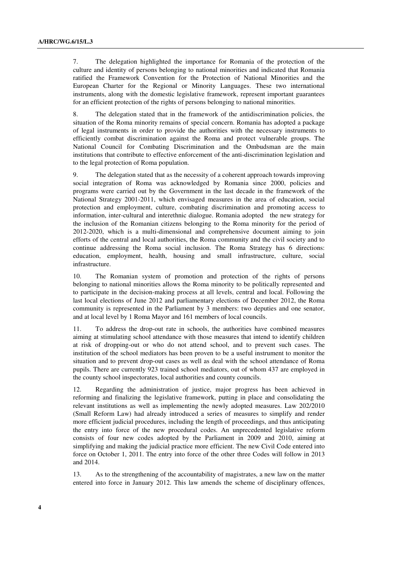7. The delegation highlighted the importance for Romania of the protection of the culture and identity of persons belonging to national minorities and indicated that Romania ratified the Framework Convention for the Protection of National Minorities and the European Charter for the Regional or Minority Languages. These two international instruments, along with the domestic legislative framework, represent important guarantees for an efficient protection of the rights of persons belonging to national minorities.

8. The delegation stated that in the framework of the antidiscrimination policies, the situation of the Roma minority remains of special concern. Romania has adopted a package of legal instruments in order to provide the authorities with the necessary instruments to efficiently combat discrimination against the Roma and protect vulnerable groups. The National Council for Combating Discrimination and the Ombudsman are the main institutions that contribute to effective enforcement of the anti-discrimination legislation and to the legal protection of Roma population.

9. The delegation stated that as the necessity of a coherent approach towards improving social integration of Roma was acknowledged by Romania since 2000, policies and programs were carried out by the Government in the last decade in the framework of the National Strategy 2001-2011, which envisaged measures in the area of education, social protection and employment, culture, combating discrimination and promoting access to information, inter-cultural and interethnic dialogue. Romania adopted the new strategy for the inclusion of the Romanian citizens belonging to the Roma minority for the period of 2012-2020, which is a multi-dimensional and comprehensive document aiming to join efforts of the central and local authorities, the Roma community and the civil society and to continue addressing the Roma social inclusion. The Roma Strategy has 6 directions: education, employment, health, housing and small infrastructure, culture, social infrastructure.

10. The Romanian system of promotion and protection of the rights of persons belonging to national minorities allows the Roma minority to be politically represented and to participate in the decision-making process at all levels, central and local. Following the last local elections of June 2012 and parliamentary elections of December 2012, the Roma community is represented in the Parliament by 3 members: two deputies and one senator, and at local level by 1 Roma Mayor and 161 members of local councils.

11. To address the drop-out rate in schools, the authorities have combined measures aiming at stimulating school attendance with those measures that intend to identify children at risk of dropping-out or who do not attend school, and to prevent such cases. The institution of the school mediators has been proven to be a useful instrument to monitor the situation and to prevent drop-out cases as well as deal with the school attendance of Roma pupils. There are currently 923 trained school mediators, out of whom 437 are employed in the county school inspectorates, local authorities and county councils.

12. Regarding the administration of justice, major progress has been achieved in reforming and finalizing the legislative framework, putting in place and consolidating the relevant institutions as well as implementing the newly adopted measures. Law 202/2010 (Small Reform Law) had already introduced a series of measures to simplify and render more efficient judicial procedures, including the length of proceedings, and thus anticipating the entry into force of the new procedural codes. An unprecedented legislative reform consists of four new codes adopted by the Parliament in 2009 and 2010, aiming at simplifying and making the judicial practice more efficient. The new Civil Code entered into force on October 1, 2011. The entry into force of the other three Codes will follow in 2013 and 2014.

13. As to the strengthening of the accountability of magistrates, a new law on the matter entered into force in January 2012. This law amends the scheme of disciplinary offences,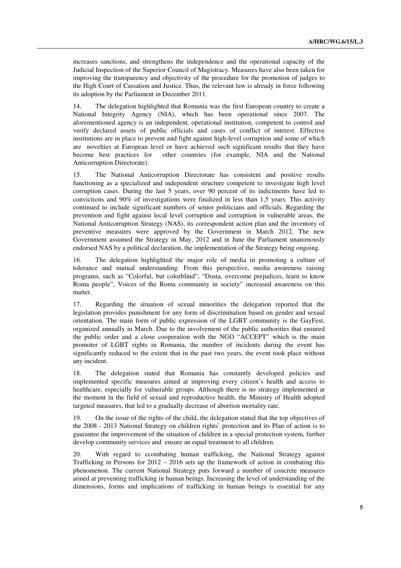increases sanctions, and strengthens the independence and the operational capacity of the Judicial Inspection of the Superior Council of Magistracy. Measures have also been taken for improving the transparency and objectivity of the procedure for the promotion of judges to the High Court of Cassation and Justice. Thus, the relevant law is already in force following its adoption by the Parliament in December 2011.

14. The delegation highlighted that Romania was the first European country to create a National Integrity Agency (NIA), which has been operational since 2007. The aforementioned agency is an independent, operational institution, competent to control and verify declared assets of public officials and cases of conflict of interest. Effective institutions are in place to prevent and fight against high-level corruption and some of which are novelties at European level or have achieved such significant results that they have become best practices for other countries (for example, NIA and the National Anticorruption Directorate).

15. The National Anticorruption Directorate has consistent and positive results functioning as a specialized and independent structure competent to investigate high level corruption cases. During the last 5 years, over 90 percent of its indictments have led to convictions and 90% of investigations were finalized in less than 1,5 years. This activity continued to include significant numbers of senior politicians and officials. Regarding the prevention and fight against local level corruption and corruption in vulnerable areas, the National Anticorruption Strategy (NAS), its correspondent action plan and the inventory of preventive measures were approved by the Government in March 2012. The new Government assumed the Strategy in May, 2012 and in June the Parliament unanimously endorsed NAS by a political declaration, the implementation of the Strategy being ongoing.

16. The delegation highlighted the major role of media in promoting a culture of tolerance and mutual understanding. From this perspective, media awareness raising programs, such as "Colorful, but colorblind", "Dosta, overcome prejudices, learn to know Roma people", Voices of the Roma community in society" increased awareness on this matter.

17. Regarding the situation of sexual minorities the delegation reported that the legislation provides punishment for any form of discrimination based on gender and sexual orientation. The main form of public expression of the LGBT community is the GayFest, organized annually in March. Due to the involvement of the public authorities that ensured the public order and a close cooperation with the NGO "ACCEPT" which is the main promoter of LGBT rights in Romania, the number of incidents during the event has significantly reduced to the extent that in the past two years, the event took place without any incident.

18. The delegation stated that Romania has constantly developed policies and implemented specific measures aimed at improving every citizen's health and access to healthcare, especially for vulnerable groups. Although there is no strategy implemented at the moment in the field of sexual and reproductive health, the Ministry of Health adopted targeted measures, that led to a gradually decrease of abortion mortality rate.

19. On the issue of the rights of the child, the delegation stated that the top objectives of the 2008 - 2013 National Strategy on children rights' protection and its Plan of action is to guarantee the improvement of the situation of children in a special protection system, further develop community services and ensure an equal treatment to all children.

20. With regard to ccombating human trafficking, the National Strategy against Trafficking in Persons for  $2012 - 2016$  sets up the framework of action in combating this phenomenon. The current National Strategy puts forward a number of concrete measures aimed at preventing trafficking in human beings. Increasing the level of understanding of the dimensions, forms and implications of trafficking in human beings is essential for any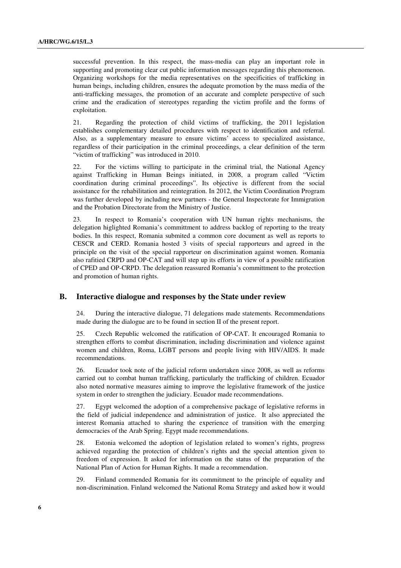successful prevention. In this respect, the mass-media can play an important role in supporting and promoting clear cut public information messages regarding this phenomenon. Organizing workshops for the media representatives on the specificities of trafficking in human beings, including children, ensures the adequate promotion by the mass media of the anti-trafficking messages, the promotion of an accurate and complete perspective of such crime and the eradication of stereotypes regarding the victim profile and the forms of exploitation.

21. Regarding the protection of child victims of trafficking, the 2011 legislation establishes complementary detailed procedures with respect to identification and referral. Also, as a supplementary measure to ensure victims' access to specialized assistance, regardless of their participation in the criminal proceedings, a clear definition of the term "victim of trafficking" was introduced in 2010.

22. For the victims willing to participate in the criminal trial, the National Agency against Trafficking in Human Beings initiated, in 2008, a program called "Victim coordination during criminal proceedings". Its objective is different from the social assistance for the rehabilitation and reintegration. In 2012, the Victim Coordination Program was further developed by including new partners - the General Inspectorate for Immigration and the Probation Directorate from the Ministry of Justice.

23. In respect to Romania's cooperation with UN human rights mechanisms, the delegation higlighted Romania's committment to address backlog of reporting to the treaty bodies. In this respect, Romania submited a common core document as well as reports to CESCR and CERD. Romania hosted 3 visits of special rapporteurs and agreed in the principle on the visit of the special rapporteur on discrimination against women. Romania also rafitied CRPD and OP-CAT and will step up its efforts in view of a possible ratification of CPED and OP-CRPD. The delegation reassured Romania's committment to the protection and promotion of human rights.

#### **B. Interactive dialogue and responses by the State under review**

24. During the interactive dialogue, 71 delegations made statements. Recommendations made during the dialogue are to be found in section II of the present report.

25. Czech Republic welcomed the ratification of OP-CAT. It encouraged Romania to strengthen efforts to combat discrimination, including discrimination and violence against women and children, Roma, LGBT persons and people living with HIV/AIDS. It made recommendations.

26. Ecuador took note of the judicial reform undertaken since 2008, as well as reforms carried out to combat human trafficking, particularly the trafficking of children. Ecuador also noted normative measures aiming to improve the legislative framework of the justice system in order to strengthen the judiciary. Ecuador made recommendations.

27. Egypt welcomed the adoption of a comprehensive package of legislative reforms in the field of judicial independence and administration of justice. It also appreciated the interest Romania attached to sharing the experience of transition with the emerging democracies of the Arab Spring. Egypt made recommendations.

28. Estonia welcomed the adoption of legislation related to women's rights, progress achieved regarding the protection of children's rights and the special attention given to freedom of expression. It asked for information on the status of the preparation of the National Plan of Action for Human Rights. It made a recommendation.

29. Finland commended Romania for its commitment to the principle of equality and non-discrimination. Finland welcomed the National Roma Strategy and asked how it would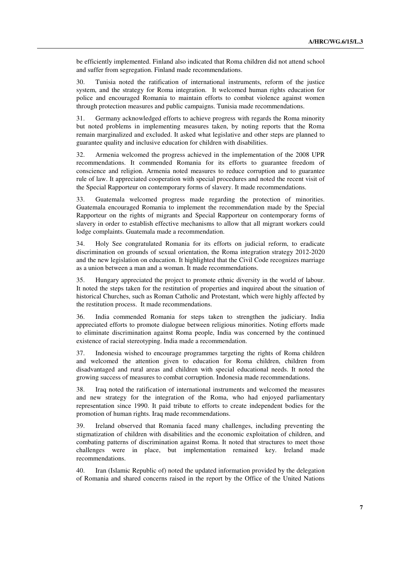be efficiently implemented. Finland also indicated that Roma children did not attend school and suffer from segregation. Finland made recommendations.

30. Tunisia noted the ratification of international instruments, reform of the justice system, and the strategy for Roma integration. It welcomed human rights education for police and encouraged Romania to maintain efforts to combat violence against women through protection measures and public campaigns. Tunisia made recommendations.

31. Germany acknowledged efforts to achieve progress with regards the Roma minority but noted problems in implementing measures taken, by noting reports that the Roma remain marginalized and excluded. It asked what legislative and other steps are planned to guarantee quality and inclusive education for children with disabilities.

32. Armenia welcomed the progress achieved in the implementation of the 2008 UPR recommendations. It commended Romania for its efforts to guarantee freedom of conscience and religion. Armenia noted measures to reduce corruption and to guarantee rule of law. It appreciated cooperation with special procedures and noted the recent visit of the Special Rapporteur on contemporary forms of slavery. It made recommendations.

33. Guatemala welcomed progress made regarding the protection of minorities. Guatemala encouraged Romania to implement the recommendation made by the Special Rapporteur on the rights of migrants and Special Rapporteur on contemporary forms of slavery in order to establish effective mechanisms to allow that all migrant workers could lodge complaints. Guatemala made a recommendation.

34. Holy See congratulated Romania for its efforts on judicial reform, to eradicate discrimination on grounds of sexual orientation, the Roma integration strategy 2012-2020 and the new legislation on education. It highlighted that the Civil Code recognizes marriage as a union between a man and a woman. It made recommendations.

35. Hungary appreciated the project to promote ethnic diversity in the world of labour. It noted the steps taken for the restitution of properties and inquired about the situation of historical Churches, such as Roman Catholic and Protestant, which were highly affected by the restitution process. It made recommendations.

36. India commended Romania for steps taken to strengthen the judiciary. India appreciated efforts to promote dialogue between religious minorities. Noting efforts made to eliminate discrimination against Roma people, India was concerned by the continued existence of racial stereotyping. India made a recommendation.

37. Indonesia wished to encourage programmes targeting the rights of Roma children and welcomed the attention given to education for Roma children, children from disadvantaged and rural areas and children with special educational needs. It noted the growing success of measures to combat corruption. Indonesia made recommendations.

38. Iraq noted the ratification of international instruments and welcomed the measures and new strategy for the integration of the Roma, who had enjoyed parliamentary representation since 1990. It paid tribute to efforts to create independent bodies for the promotion of human rights. Iraq made recommendations.

39. Ireland observed that Romania faced many challenges, including preventing the stigmatization of children with disabilities and the economic exploitation of children, and combating patterns of discrimination against Roma. It noted that structures to meet those challenges were in place, but implementation remained key. Ireland made recommendations.

40. Iran (Islamic Republic of) noted the updated information provided by the delegation of Romania and shared concerns raised in the report by the Office of the United Nations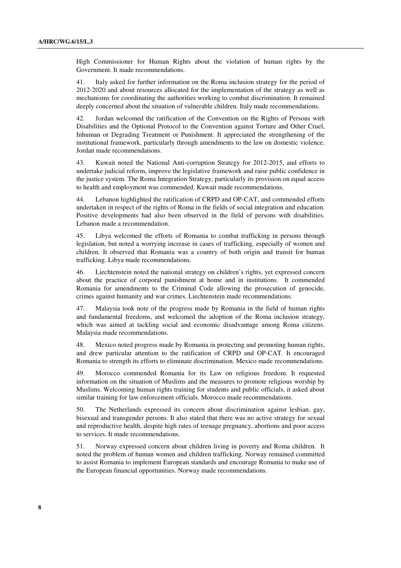High Commissioner for Human Rights about the violation of human rights by the Government. It made recommendations.

41. Italy asked for further information on the Roma inclusion strategy for the period of 2012-2020 and about resources allocated for the implementation of the strategy as well as mechanisms for coordinating the authorities working to combat discrimination. It remained deeply concerned about the situation of vulnerable children. Italy made recommendations.

42. Jordan welcomed the ratification of the Convention on the Rights of Persons with Disabilities and the Optional Protocol to the Convention against Torture and Other Cruel, Inhuman or Degrading Treatment or Punishment. It appreciated the strengthening of the institutional framework, particularly through amendments to the law on domestic violence. Jordan made recommendations.

43. Kuwait noted the National Anti-corruption Strategy for 2012-2015, and efforts to undertake judicial reform, improve the legislative framework and raise public confidence in the justice system. The Roma Integration Strategy, particularly its provision on equal access to health and employment was commended. Kuwait made recommendations.

44. Lebanon highlighted the ratification of CRPD and OP-CAT, and commended efforts undertaken in respect of the rights of Roma in the fields of social integration and education. Positive developments had also been observed in the field of persons with disabilities. Lebanon made a recommendation.

45. Libya welcomed the efforts of Romania to combat trafficking in persons through legislation, but noted a worrying increase in cases of trafficking, especially of women and children. It observed that Romania was a country of both origin and transit for human trafficking. Libya made recommendations.

46. Liechtenstein noted the national strategy on children's rights, yet expressed concern about the practice of corporal punishment at home and in institutions. It commended Romania for amendments to the Criminal Code allowing the prosecution of genocide, crimes against humanity and war crimes. Liechtenstein made recommendations.

47. Malaysia took note of the progress made by Romania in the field of human rights and fundamental freedoms, and welcomed the adoption of the Roma inclusion strategy, which was aimed at tackling social and economic disadvantage among Roma citizens. Malaysia made recommendations.

48. Mexico noted progress made by Romania in protecting and promoting human rights, and drew particular attention to the ratification of CRPD and OP-CAT. It encouraged Romania to strength its efforts to eliminate discrimination. Mexico made recommendations.

49. Morocco commended Romania for its Law on religious freedom. It requested information on the situation of Muslims and the measures to promote religious worship by Muslims. Welcoming human rights training for students and public officials, it asked about similar training for law enforcement officials. Morocco made recommendations.

50. The Netherlands expressed its concern about discrimination against lesbian, gay, bisexual and transgender persons. It also stated that there was no active strategy for sexual and reproductive health, despite high rates of teenage pregnancy, abortions and poor access to services. It made recommendations.

51. Norway expressed concern about children living in poverty and Roma children. It noted the problem of human women and children trafficking. Norway remained committed to assist Romania to implement European standards and encourage Romania to make use of the European financial opportunities. Norway made recommendations.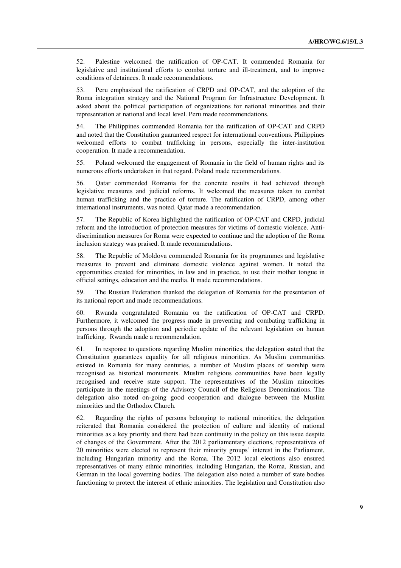52. Palestine welcomed the ratification of OP-CAT. It commended Romania for legislative and institutional efforts to combat torture and ill-treatment, and to improve conditions of detainees. It made recommendations.

53. Peru emphasized the ratification of CRPD and OP-CAT, and the adoption of the Roma integration strategy and the National Program for Infrastructure Development. It asked about the political participation of organizations for national minorities and their representation at national and local level. Peru made recommendations.

54. The Philippines commended Romania for the ratification of OP-CAT and CRPD and noted that the Constitution guaranteed respect for international conventions. Philippines welcomed efforts to combat trafficking in persons, especially the inter-institution cooperation. It made a recommendation.

55. Poland welcomed the engagement of Romania in the field of human rights and its numerous efforts undertaken in that regard. Poland made recommendations.

56. Qatar commended Romania for the concrete results it had achieved through legislative measures and judicial reforms. It welcomed the measures taken to combat human trafficking and the practice of torture. The ratification of CRPD, among other international instruments, was noted. Qatar made a recommendation.

57. The Republic of Korea highlighted the ratification of OP-CAT and CRPD, judicial reform and the introduction of protection measures for victims of domestic violence. Antidiscrimination measures for Roma were expected to continue and the adoption of the Roma inclusion strategy was praised. It made recommendations.

58. The Republic of Moldova commended Romania for its programmes and legislative measures to prevent and eliminate domestic violence against women. It noted the opportunities created for minorities, in law and in practice, to use their mother tongue in official settings, education and the media. It made recommendations.

59. The Russian Federation thanked the delegation of Romania for the presentation of its national report and made recommendations.

60. Rwanda congratulated Romania on the ratification of OP-CAT and CRPD. Furthermore, it welcomed the progress made in preventing and combating trafficking in persons through the adoption and periodic update of the relevant legislation on human trafficking. Rwanda made a recommendation.

61. In response to questions regarding Muslim minorities, the delegation stated that the Constitution guarantees equality for all religious minorities. As Muslim communities existed in Romania for many centuries, a number of Muslim places of worship were recognised as historical monuments. Muslim religious communities have been legally recognised and receive state support. The representatives of the Muslim minorities participate in the meetings of the Advisory Council of the Religious Denominations. The delegation also noted on-going good cooperation and dialogue between the Muslim minorities and the Orthodox Church.

62. Regarding the rights of persons belonging to national minorities, the delegation reiterated that Romania considered the protection of culture and identity of national minorities as a key priority and there had been continuity in the policy on this issue despite of changes of the Government. After the 2012 parliamentary elections, representatives of 20 minorities were elected to represent their minority groups' interest in the Parliament, including Hungarian minority and the Roma. The 2012 local elections also ensured representatives of many ethnic minorities, including Hungarian, the Roma, Russian, and German in the local governing bodies. The delegation also noted a number of state bodies functioning to protect the interest of ethnic minorities. The legislation and Constitution also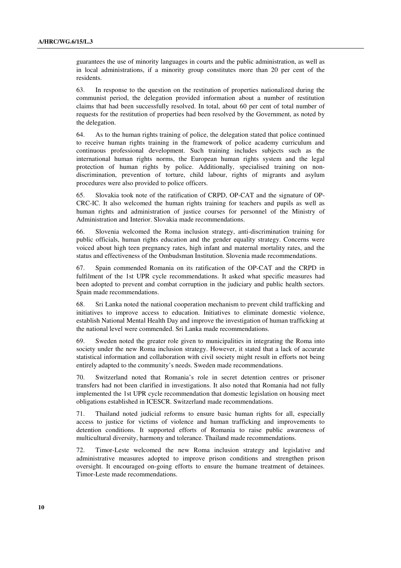guarantees the use of minority languages in courts and the public administration, as well as in local administrations, if a minority group constitutes more than 20 per cent of the residents.

63. In response to the question on the restitution of properties nationalized during the communist period, the delegation provided information about a number of restitution claims that had been successfully resolved. In total, about 60 per cent of total number of requests for the restitution of properties had been resolved by the Government, as noted by the delegation.

64. As to the human rights training of police, the delegation stated that police continued to receive human rights training in the framework of police academy curriculum and continuous professional development. Such training includes subjects such as the international human rights norms, the European human rights system and the legal protection of human rights by police. Additionally, specialised training on nondiscrimination, prevention of torture, child labour, rights of migrants and asylum procedures were also provided to police officers.

65. Slovakia took note of the ratification of CRPD, OP-CAT and the signature of OP-CRC-IC. It also welcomed the human rights training for teachers and pupils as well as human rights and administration of justice courses for personnel of the Ministry of Administration and Interior. Slovakia made recommendations.

66. Slovenia welcomed the Roma inclusion strategy, anti-discrimination training for public officials, human rights education and the gender equality strategy. Concerns were voiced about high teen pregnancy rates, high infant and maternal mortality rates, and the status and effectiveness of the Ombudsman Institution. Slovenia made recommendations.

67. Spain commended Romania on its ratification of the OP-CAT and the CRPD in fulfilment of the 1st UPR cycle recommendations. It asked what specific measures had been adopted to prevent and combat corruption in the judiciary and public health sectors. Spain made recommendations.

68. Sri Lanka noted the national cooperation mechanism to prevent child trafficking and initiatives to improve access to education. Initiatives to eliminate domestic violence, establish National Mental Health Day and improve the investigation of human trafficking at the national level were commended. Sri Lanka made recommendations.

69. Sweden noted the greater role given to municipalities in integrating the Roma into society under the new Roma inclusion strategy. However, it stated that a lack of accurate statistical information and collaboration with civil society might result in efforts not being entirely adapted to the community's needs. Sweden made recommendations.

70. Switzerland noted that Romania's role in secret detention centres or prisoner transfers had not been clarified in investigations. It also noted that Romania had not fully implemented the 1st UPR cycle recommendation that domestic legislation on housing meet obligations established in ICESCR. Switzerland made recommendations.

71. Thailand noted judicial reforms to ensure basic human rights for all, especially access to justice for victims of violence and human trafficking and improvements to detention conditions. It supported efforts of Romania to raise public awareness of multicultural diversity, harmony and tolerance. Thailand made recommendations.

72. Timor-Leste welcomed the new Roma inclusion strategy and legislative and administrative measures adopted to improve prison conditions and strengthen prison oversight. It encouraged on-going efforts to ensure the humane treatment of detainees. Timor-Leste made recommendations.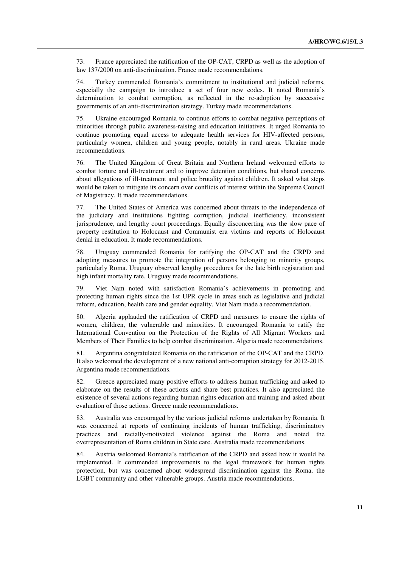73. France appreciated the ratification of the OP-CAT, CRPD as well as the adoption of law 137/2000 on anti-discrimination. France made recommendations.

74. Turkey commended Romania's commitment to institutional and judicial reforms, especially the campaign to introduce a set of four new codes. It noted Romania's determination to combat corruption, as reflected in the re-adoption by successive governments of an anti-discrimination strategy. Turkey made recommendations.

75. Ukraine encouraged Romania to continue efforts to combat negative perceptions of minorities through public awareness-raising and education initiatives. It urged Romania to continue promoting equal access to adequate health services for HIV-affected persons, particularly women, children and young people, notably in rural areas. Ukraine made recommendations.

76. The United Kingdom of Great Britain and Northern Ireland welcomed efforts to combat torture and ill-treatment and to improve detention conditions, but shared concerns about allegations of ill-treatment and police brutality against children. It asked what steps would be taken to mitigate its concern over conflicts of interest within the Supreme Council of Magistracy. It made recommendations.

77. The United States of America was concerned about threats to the independence of the judiciary and institutions fighting corruption, judicial inefficiency, inconsistent jurisprudence, and lengthy court proceedings. Equally disconcerting was the slow pace of property restitution to Holocaust and Communist era victims and reports of Holocaust denial in education. It made recommendations.

78. Uruguay commended Romania for ratifying the OP-CAT and the CRPD and adopting measures to promote the integration of persons belonging to minority groups, particularly Roma. Uruguay observed lengthy procedures for the late birth registration and high infant mortality rate. Uruguay made recommendations.

79. Viet Nam noted with satisfaction Romania's achievements in promoting and protecting human rights since the 1st UPR cycle in areas such as legislative and judicial reform, education, health care and gender equality. Viet Nam made a recommendation.

80. Algeria applauded the ratification of CRPD and measures to ensure the rights of women, children, the vulnerable and minorities. It encouraged Romania to ratify the International Convention on the Protection of the Rights of All Migrant Workers and Members of Their Families to help combat discrimination. Algeria made recommendations.

81. Argentina congratulated Romania on the ratification of the OP-CAT and the CRPD. It also welcomed the development of a new national anti-corruption strategy for 2012-2015. Argentina made recommendations.

82. Greece appreciated many positive efforts to address human trafficking and asked to elaborate on the results of these actions and share best practices. It also appreciated the existence of several actions regarding human rights education and training and asked about evaluation of those actions. Greece made recommendations.

83. Australia was encouraged by the various judicial reforms undertaken by Romania. It was concerned at reports of continuing incidents of human trafficking, discriminatory practices and racially-motivated violence against the Roma and noted the overrepresentation of Roma children in State care. Australia made recommendations.

84. Austria welcomed Romania's ratification of the CRPD and asked how it would be implemented. It commended improvements to the legal framework for human rights protection, but was concerned about widespread discrimination against the Roma, the LGBT community and other vulnerable groups. Austria made recommendations.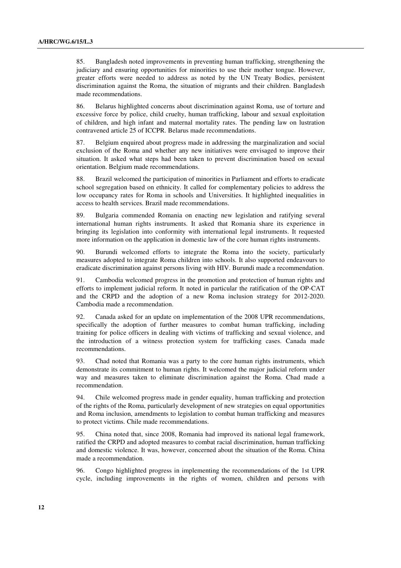85. Bangladesh noted improvements in preventing human trafficking, strengthening the judiciary and ensuring opportunities for minorities to use their mother tongue. However, greater efforts were needed to address as noted by the UN Treaty Bodies, persistent discrimination against the Roma, the situation of migrants and their children. Bangladesh made recommendations.

86. Belarus highlighted concerns about discrimination against Roma, use of torture and excessive force by police, child cruelty, human trafficking, labour and sexual exploitation of children, and high infant and maternal mortality rates. The pending law on lustration contravened article 25 of ICCPR. Belarus made recommendations.

87. Belgium enquired about progress made in addressing the marginalization and social exclusion of the Roma and whether any new initiatives were envisaged to improve their situation. It asked what steps had been taken to prevent discrimination based on sexual orientation. Belgium made recommendations.

88. Brazil welcomed the participation of minorities in Parliament and efforts to eradicate school segregation based on ethnicity. It called for complementary policies to address the low occupancy rates for Roma in schools and Universities. It highlighted inequalities in access to health services. Brazil made recommendations.

89. Bulgaria commended Romania on enacting new legislation and ratifying several international human rights instruments. It asked that Romania share its experience in bringing its legislation into conformity with international legal instruments. It requested more information on the application in domestic law of the core human rights instruments.

90. Burundi welcomed efforts to integrate the Roma into the society, particularly measures adopted to integrate Roma children into schools. It also supported endeavours to eradicate discrimination against persons living with HIV. Burundi made a recommendation.

91. Cambodia welcomed progress in the promotion and protection of human rights and efforts to implement judicial reform. It noted in particular the ratification of the OP-CAT and the CRPD and the adoption of a new Roma inclusion strategy for 2012-2020. Cambodia made a recommendation.

92. Canada asked for an update on implementation of the 2008 UPR recommendations, specifically the adoption of further measures to combat human trafficking, including training for police officers in dealing with victims of trafficking and sexual violence, and the introduction of a witness protection system for trafficking cases. Canada made recommendations.

93. Chad noted that Romania was a party to the core human rights instruments, which demonstrate its commitment to human rights. It welcomed the major judicial reform under way and measures taken to eliminate discrimination against the Roma. Chad made a recommendation.

94. Chile welcomed progress made in gender equality, human trafficking and protection of the rights of the Roma, particularly development of new strategies on equal opportunities and Roma inclusion, amendments to legislation to combat human trafficking and measures to protect victims. Chile made recommendations.

95. China noted that, since 2008, Romania had improved its national legal framework, ratified the CRPD and adopted measures to combat racial discrimination, human trafficking and domestic violence. It was, however, concerned about the situation of the Roma. China made a recommendation.

96. Congo highlighted progress in implementing the recommendations of the 1st UPR cycle, including improvements in the rights of women, children and persons with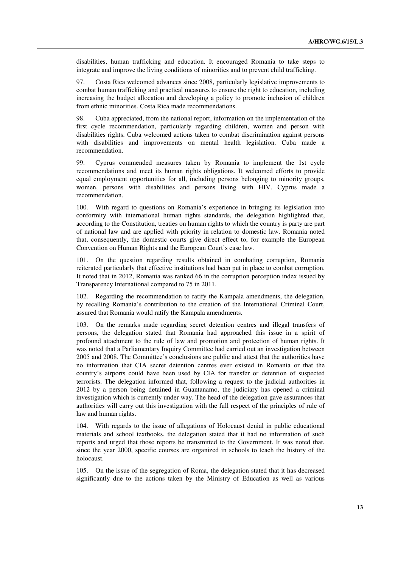disabilities, human trafficking and education. It encouraged Romania to take steps to integrate and improve the living conditions of minorities and to prevent child trafficking.

97. Costa Rica welcomed advances since 2008, particularly legislative improvements to combat human trafficking and practical measures to ensure the right to education, including increasing the budget allocation and developing a policy to promote inclusion of children from ethnic minorities. Costa Rica made recommendations.

98. Cuba appreciated, from the national report, information on the implementation of the first cycle recommendation, particularly regarding children, women and person with disabilities rights. Cuba welcomed actions taken to combat discrimination against persons with disabilities and improvements on mental health legislation. Cuba made a recommendation.

99. Cyprus commended measures taken by Romania to implement the 1st cycle recommendations and meet its human rights obligations. It welcomed efforts to provide equal employment opportunities for all, including persons belonging to minority groups, women, persons with disabilities and persons living with HIV. Cyprus made a recommendation.

100. With regard to questions on Romania's experience in bringing its legislation into conformity with international human rights standards, the delegation highlighted that, according to the Constitution, treaties on human rights to which the country is party are part of national law and are applied with priority in relation to domestic law. Romania noted that, consequently, the domestic courts give direct effect to, for example the European Convention on Human Rights and the European Court's case law.

101. On the question regarding results obtained in combating corruption, Romania reiterated particularly that effective institutions had been put in place to combat corruption. It noted that in 2012, Romania was ranked 66 in the corruption perception index issued by Transparency International compared to 75 in 2011.

102. Regarding the recommendation to ratify the Kampala amendments, the delegation, by recalling Romania's contribution to the creation of the International Criminal Court, assured that Romania would ratify the Kampala amendments.

103. On the remarks made regarding secret detention centres and illegal transfers of persons, the delegation stated that Romania had approached this issue in a spirit of profound attachment to the rule of law and promotion and protection of human rights. It was noted that a Parliamentary Inquiry Committee had carried out an investigation between 2005 and 2008. The Committee's conclusions are public and attest that the authorities have no information that CIA secret detention centres ever existed in Romania or that the country's airports could have been used by CIA for transfer or detention of suspected terrorists. The delegation informed that, following a request to the judicial authorities in 2012 by a person being detained in Guantanamo, the judiciary has opened a criminal investigation which is currently under way. The head of the delegation gave assurances that authorities will carry out this investigation with the full respect of the principles of rule of law and human rights.

104. With regards to the issue of allegations of Holocaust denial in public educational materials and school textbooks, the delegation stated that it had no information of such reports and urged that those reports be transmitted to the Government. It was noted that, since the year 2000, specific courses are organized in schools to teach the history of the holocaust.

105. On the issue of the segregation of Roma, the delegation stated that it has decreased significantly due to the actions taken by the Ministry of Education as well as various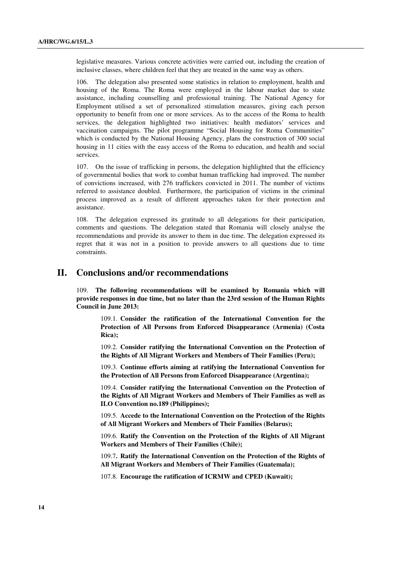legislative measures. Various concrete activities were carried out, including the creation of inclusive classes, where children feel that they are treated in the same way as others.

106. The delegation also presented some statistics in relation to employment, health and housing of the Roma. The Roma were employed in the labour market due to state assistance, including counselling and professional training. The National Agency for Employment utilised a set of personalized stimulation measures, giving each person opportunity to benefit from one or more services. As to the access of the Roma to health services, the delegation highlighted two initiatives: health mediators' services and vaccination campaigns. The pilot programme "Social Housing for Roma Communities" which is conducted by the National Housing Agency, plans the construction of 300 social housing in 11 cities with the easy access of the Roma to education, and health and social services.

107. On the issue of trafficking in persons, the delegation highlighted that the efficiency of governmental bodies that work to combat human trafficking had improved. The number of convictions increased, with 276 traffickers convicted in 2011. The number of victims referred to assistance doubled. Furthermore, the participation of victims in the criminal process improved as a result of different approaches taken for their protection and assistance.

108. The delegation expressed its gratitude to all delegations for their participation, comments and questions. The delegation stated that Romania will closely analyse the recommendations and provide its answer to them in due time. The delegation expressed its regret that it was not in a position to provide answers to all questions due to time constraints.

# **II. Conclusions and/or recommendations**

109. **The following recommendations will be examined by Romania which will provide responses in due time, but no later than the 23rd session of the Human Rights Council in June 2013:**

109.1. **Consider the ratification of the International Convention for the Protection of All Persons from Enforced Disappearance (Armenia) (Costa Rica);** 

109.2. **Consider ratifying the International Convention on the Protection of the Rights of All Migrant Workers and Members of Their Families (Peru);** 

109.3. **Continue efforts aiming at ratifying the International Convention for the Protection of All Persons from Enforced Disappearance (Argentina);** 

109.4. **Consider ratifying the International Convention on the Protection of the Rights of All Migrant Workers and Members of Their Families as well as ILO Convention no.189 (Philippines);** 

109.5. **Accede to the International Convention on the Protection of the Rights of All Migrant Workers and Members of Their Families (Belarus);** 

109.6. **Ratify the Convention on the Protection of the Rights of All Migrant Workers and Members of Their Families (Chile);** 

109.7**. Ratify the International Convention on the Protection of the Rights of All Migrant Workers and Members of Their Families (Guatemala);** 

107.8. **Encourage the ratification of ICRMW and CPED (Kuwait);**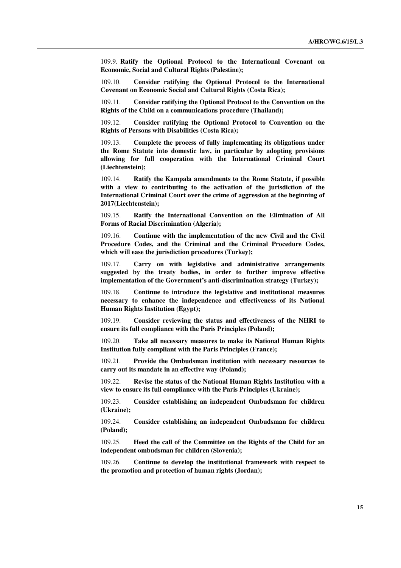109.9. **Ratify the Optional Protocol to the International Covenant on Economic, Social and Cultural Rights (Palestine);** 

109.10. **Consider ratifying the Optional Protocol to the International Covenant on Economic Social and Cultural Rights (Costa Rica);** 

109.11. **Consider ratifying the Optional Protocol to the Convention on the Rights of the Child on a communications procedure (Thailand);** 

109.12. **Consider ratifying the Optional Protocol to Convention on the Rights of Persons with Disabilities (Costa Rica);** 

109.13. **Complete the process of fully implementing its obligations under the Rome Statute into domestic law, in particular by adopting provisions allowing for full cooperation with the International Criminal Court (Liechtenstein);** 

109.14. **Ratify the Kampala amendments to the Rome Statute, if possible with a view to contributing to the activation of the jurisdiction of the International Criminal Court over the crime of aggression at the beginning of 2017(Liechtenstein);** 

109.15. **Ratify the International Convention on the Elimination of All Forms of Racial Discrimination (Algeria);** 

109.16. **Continue with the implementation of the new Civil and the Civil Procedure Codes, and the Criminal and the Criminal Procedure Codes, which will ease the jurisdiction procedures (Turkey);** 

109.17. **Carry on with legislative and administrative arrangements suggested by the treaty bodies, in order to further improve effective implementation of the Government's anti-discrimination strategy (Turkey);** 

109.18. **Continue to introduce the legislative and institutional measures necessary to enhance the independence and effectiveness of its National Human Rights Institution (Egypt);** 

109.19. **Consider reviewing the status and effectiveness of the NHRI to ensure its full compliance with the Paris Principles (Poland);** 

109.20. **Take all necessary measures to make its National Human Rights Institution fully compliant with the Paris Principles (France);** 

109.21. **Provide the Ombudsman institution with necessary resources to carry out its mandate in an effective way (Poland);**

109.22. **Revise the status of the National Human Rights Institution with a view to ensure its full compliance with the Paris Principles (Ukraine);** 

109.23. **Consider establishing an independent Ombudsman for children (Ukraine);** 

109.24. **Consider establishing an independent Ombudsman for children (Poland);** 

109.25. **Heed the call of the Committee on the Rights of the Child for an independent ombudsman for children (Slovenia);** 

109.26. **Continue to develop the institutional framework with respect to the promotion and protection of human rights (Jordan);**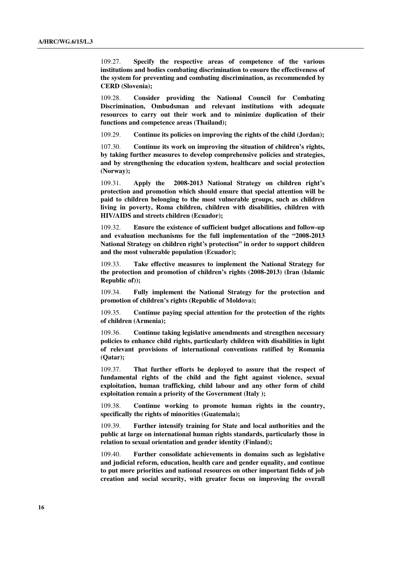109.27. **Specify the respective areas of competence of the various institutions and bodies combating discrimination to ensure the effectiveness of the system for preventing and combating discrimination, as recommended by CERD (Slovenia);** 

109.28. **Consider providing the National Council for Combating Discrimination, Ombudsman and relevant institutions with adequate resources to carry out their work and to minimize duplication of their functions and competence areas (Thailand);** 

109.29. **Continue its policies on improving the rights of the child (Jordan);** 

107.30. **Continue its work on improving the situation of children's rights, by taking further measures to develop comprehensive policies and strategies, and by strengthening the education system, healthcare and social protection (Norway);** 

109.31. **Apply the 2008-2013 National Strategy on children right's protection and promotion which should ensure that special attention will be paid to children belonging to the most vulnerable groups, such as children living in poverty, Roma children, children with disabilities, children with HIV/AIDS and streets children (Ecuador);** 

109.32. **Ensure the existence of sufficient budget allocations and follow-up and evaluation mechanisms for the full implementation of the "2008-2013 National Strategy on children right's protection" in order to support children and the most vulnerable population (Ecuador);** 

109.33. **Take effective measures to implement the National Strategy for the protection and promotion of children's rights (2008-2013) (Iran (Islamic Republic of));** 

109.34. **Fully implement the National Strategy for the protection and promotion of children's rights (Republic of Moldova);** 

109.35. **Continue paying special attention for the protection of the rights of children (Armenia);** 

109.36. **Continue taking legislative amendments and strengthen necessary policies to enhance child rights, particularly children with disabilities in light of relevant provisions of international conventions ratified by Romania (Qatar);** 

109.37. **That further efforts be deployed to assure that the respect of fundamental rights of the child and the fight against violence, sexual exploitation, human trafficking, child labour and any other form of child exploitation remain a priority of the Government (Italy );** 

109.38. **Continue working to promote human rights in the country, specifically the rights of minorities (Guatemala);** 

109.39. **Further intensify training for State and local authorities and the public at large on international human rights standards, particularly those in relation to sexual orientation and gender identity (Finland);** 

109.40. **Further consolidate achievements in domains such as legislative and judicial reform, education, health care and gender equality, and continue to put more priorities and national resources on other important fields of job creation and social security, with greater focus on improving the overall**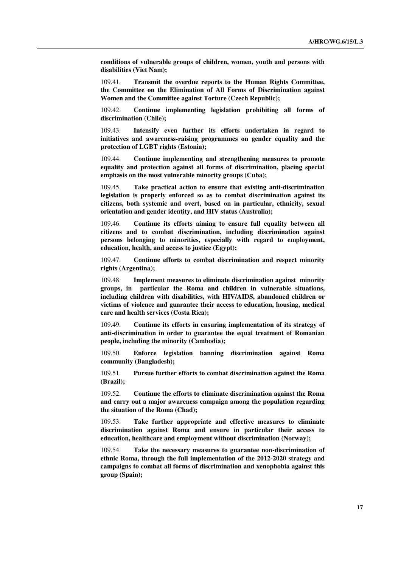**conditions of vulnerable groups of children, women, youth and persons with disabilities (Viet Nam);** 

109.41. **Transmit the overdue reports to the Human Rights Committee, the Committee on the Elimination of All Forms of Discrimination against Women and the Committee against Torture (Czech Republic);** 

109.42. **Continue implementing legislation prohibiting all forms of discrimination (Chile);** 

109.43. **Intensify even further its efforts undertaken in regard to initiatives and awareness-raising programmes on gender equality and the protection of LGBT rights (Estonia);** 

109.44. **Continue implementing and strengthening measures to promote equality and protection against all forms of discrimination, placing special emphasis on the most vulnerable minority groups (Cuba);** 

109.45. **Take practical action to ensure that existing anti-discrimination legislation is properly enforced so as to combat discrimination against its citizens, both systemic and overt, based on in particular, ethnicity, sexual orientation and gender identity, and HIV status (Australia);** 

109.46. **Continue its efforts aiming to ensure full equality between all citizens and to combat discrimination, including discrimination against persons belonging to minorities, especially with regard to employment, education, health, and access to justice (Egypt);** 

109.47. **Continue efforts to combat discrimination and respect minority rights (Argentina);** 

109.48. **Implement measures to eliminate discrimination against minority groups, in particular the Roma and children in vulnerable situations, including children with disabilities, with HIV/AIDS, abandoned children or victims of violence and guarantee their access to education, housing, medical care and health services (Costa Rica);** 

109.49. **Continue its efforts in ensuring implementation of its strategy of anti-discrimination in order to guarantee the equal treatment of Romanian people, including the minority (Cambodia);** 

109.50. **Enforce legislation banning discrimination against Roma community (Bangladesh);** 

109.51. **Pursue further efforts to combat discrimination against the Roma (Brazil);** 

109.52. **Continue the efforts to eliminate discrimination against the Roma and carry out a major awareness campaign among the population regarding the situation of the Roma (Chad);** 

109.53. **Take further appropriate and effective measures to eliminate discrimination against Roma and ensure in particular their access to education, healthcare and employment without discrimination (Norway);** 

Take the necessary measures to guarantee non-discrimination of **ethnic Roma, through the full implementation of the 2012-2020 strategy and campaigns to combat all forms of discrimination and xenophobia against this group (Spain);**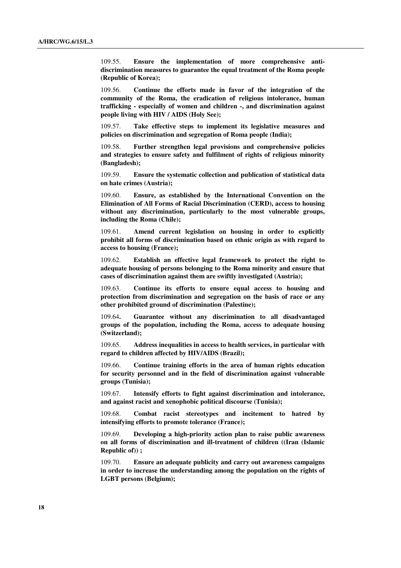109.55. **Ensure the implementation of more comprehensive antidiscrimination measures to guarantee the equal treatment of the Roma people (Republic of Korea);** 

109.56. **Continue the efforts made in favor of the integration of the community of the Roma, the eradication of religious intolerance, human trafficking - especially of women and children -, and discrimination against people living with HIV / AIDS (Holy See);** 

109.57. **Take effective steps to implement its legislative measures and policies on discrimination and segregation of Roma people (India);** 

109.58. **Further strengthen legal provisions and comprehensive policies and strategies to ensure safety and fulfilment of rights of religious minority (Bangladesh);** 

109.59. **Ensure the systematic collection and publication of statistical data on hate crimes (Austria);** 

109.60. **Ensure, as established by the International Convention on the Elimination of All Forms of Racial Discrimination (CERD), access to housing without any discrimination, particularly to the most vulnerable groups, including the Roma (Chile);** 

109.61. **Amend current legislation on housing in order to explicitly prohibit all forms of discrimination based on ethnic origin as with regard to access to housing (France);** 

109.62. **Establish an effective legal framework to protect the right to adequate housing of persons belonging to the Roma minority and ensure that cases of discrimination against them are swiftly investigated (Austria);** 

109.63. **Continue its efforts to ensure equal access to housing and protection from discrimination and segregation on the basis of race or any other prohibited ground of discrimination (Palestine);** 

109.64**. Guarantee without any discrimination to all disadvantaged groups of the population, including the Roma, access to adequate housing (Switzerland);** 

109.65. **Address inequalities in access to health services, in particular with regard to children affected by HIV/AIDS (Brazil);** 

109.66. **Continue training efforts in the area of human rights education for security personnel and in the field of discrimination against vulnerable groups (Tunisia);** 

109.67. **Intensify efforts to fight against discrimination and intolerance, and against racist and xenophobic political discourse (Tunisia);** 

109.68. **Combat racist stereotypes and incitement to hatred by intensifying efforts to promote tolerance (France);**

109.69. **Developing a high-priority action plan to raise public awareness on all forms of discrimination and ill-treatment of children ((Iran (Islamic Republic of)) ;** 

109.70. **Ensure an adequate publicity and carry out awareness campaigns in order to increase the understanding among the population on the rights of LGBT persons (Belgium);**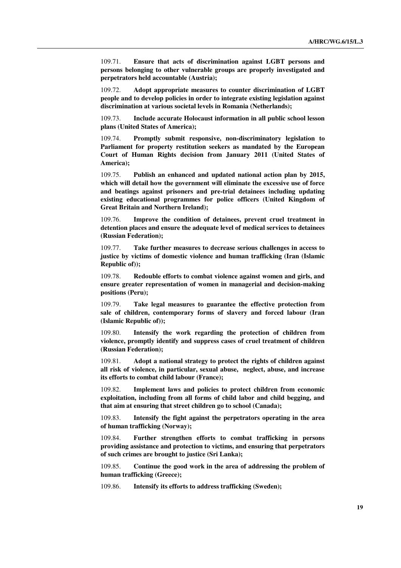109.71. **Ensure that acts of discrimination against LGBT persons and persons belonging to other vulnerable groups are properly investigated and perpetrators held accountable (Austria);** 

109.72. **Adopt appropriate measures to counter discrimination of LGBT people and to develop policies in order to integrate existing legislation against discrimination at various societal levels in Romania (Netherlands);** 

109.73. **Include accurate Holocaust information in all public school lesson plans (United States of America);** 

109.74. **Promptly submit responsive, non-discriminatory legislation to Parliament for property restitution seekers as mandated by the European Court of Human Rights decision from January 2011 (United States of America);** 

109.75. **Publish an enhanced and updated national action plan by 2015, which will detail how the government will eliminate the excessive use of force and beatings against prisoners and pre-trial detainees including updating existing educational programmes for police officers (United Kingdom of Great Britain and Northern Ireland);** 

109.76. **Improve the condition of detainees, prevent cruel treatment in detention places and ensure the adequate level of medical services to detainees (Russian Federation);** 

109.77. **Take further measures to decrease serious challenges in access to justice by victims of domestic violence and human trafficking (Iran (Islamic Republic of));** 

109.78. **Redouble efforts to combat violence against women and girls, and ensure greater representation of women in managerial and decision-making positions (Peru);** 

109.79. **Take legal measures to guarantee the effective protection from sale of children, contemporary forms of slavery and forced labour (Iran (Islamic Republic of));** 

109.80. **Intensify the work regarding the protection of children from violence, promptly identify and suppress cases of cruel treatment of children (Russian Federation);** 

109.81. **Adopt a national strategy to protect the rights of children against all risk of violence, in particular, sexual abuse, neglect, abuse, and increase its efforts to combat child labour (France);** 

109.82. **Implement laws and policies to protect children from economic exploitation, including from all forms of child labor and child begging, and that aim at ensuring that street children go to school (Canada);** 

109.83. **Intensify the fight against the perpetrators operating in the area of human trafficking (Norway);** 

109.84. **Further strengthen efforts to combat trafficking in persons providing assistance and protection to victims, and ensuring that perpetrators of such crimes are brought to justice (Sri Lanka);** 

109.85. **Continue the good work in the area of addressing the problem of human trafficking (Greece);** 

109.86. **Intensify its efforts to address trafficking (Sweden);**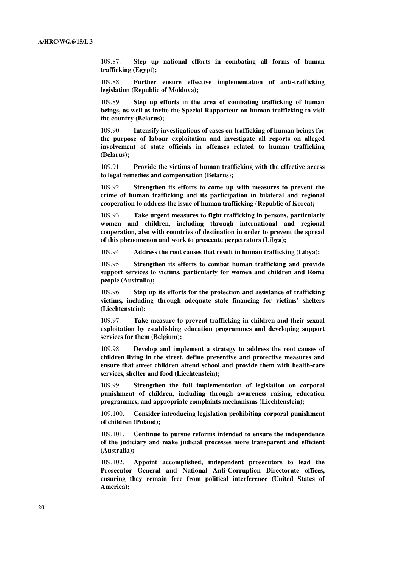109.87. **Step up national efforts in combating all forms of human trafficking (Egypt);** 

109.88. **Further ensure effective implementation of anti-trafficking legislation (Republic of Moldova);** 

109.89. **Step up efforts in the area of combating trafficking of human beings, as well as invite the Special Rapporteur on human trafficking to visit the country (Belarus);** 

109.90. **Intensify investigations of cases on trafficking of human beings for the purpose of labour exploitation and investigate all reports on alleged involvement of state officials in offenses related to human trafficking (Belarus);** 

109.91. **Provide the victims of human trafficking with the effective access to legal remedies and compensation (Belarus);** 

109.92. **Strengthen its efforts to come up with measures to prevent the crime of human trafficking and its participation in bilateral and regional cooperation to address the issue of human trafficking (Republic of Korea);** 

109.93. **Take urgent measures to fight trafficking in persons, particularly women and children, including through international and regional cooperation, also with countries of destination in order to prevent the spread of this phenomenon and work to prosecute perpetrators (Libya);** 

109.94. **Address the root causes that result in human trafficking (Libya);** 

109.95. **Strengthen its efforts to combat human trafficking and provide support services to victims, particularly for women and children and Roma people (Australia);** 

109.96. **Step up its efforts for the protection and assistance of trafficking victims, including through adequate state financing for victims' shelters (Liechtenstein);** 

109.97. **Take measure to prevent trafficking in children and their sexual exploitation by establishing education programmes and developing support services for them (Belgium);** 

109.98. **Develop and implement a strategy to address the root causes of children living in the street, define preventive and protective measures and ensure that street children attend school and provide them with health-care services, shelter and food (Liechtenstein);** 

109.99. **Strengthen the full implementation of legislation on corporal punishment of children, including through awareness raising, education programmes, and appropriate complaints mechanisms (Liechtenstein);** 

109.100. **Consider introducing legislation prohibiting corporal punishment of children (Poland);** 

109.101. **Continue to pursue reforms intended to ensure the independence of the judiciary and make judicial processes more transparent and efficient (Australia);** 

109.102. **Appoint accomplished, independent prosecutors to lead the Prosecutor General and National Anti-Corruption Directorate offices, ensuring they remain free from political interference (United States of America);**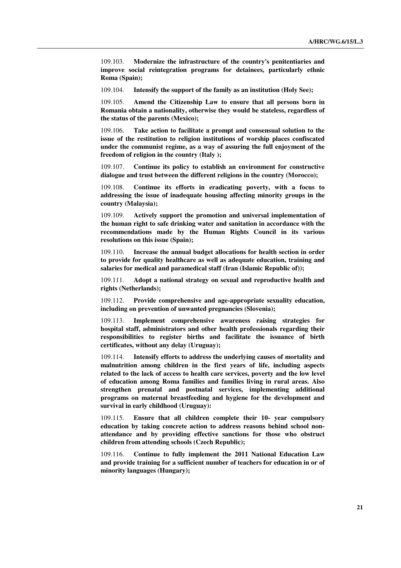109.103. **Modernize the infrastructure of the country's penitentiaries and improve social reintegration programs for detainees, particularly ethnic Roma (Spain);** 

109.104. **Intensify the support of the family as an institution (Holy See);** 

109.105. **Amend the Citizenship Law to ensure that all persons born in Romania obtain a nationality, otherwise they would be stateless, regardless of the status of the parents (Mexico);** 

109.106. **Take action to facilitate a prompt and consensual solution to the issue of the restitution to religion institutions of worship places confiscated under the communist regime, as a way of assuring the full enjoyment of the freedom of religion in the country (Italy );** 

109.107. **Continue its policy to establish an environment for constructive dialogue and trust between the different religions in the country (Morocco);** 

109.108. **Continue its efforts in eradicating poverty, with a focus to addressing the issue of inadequate housing affecting minority groups in the country (Malaysia);** 

109.109. **Actively support the promotion and universal implementation of the human right to safe drinking water and sanitation in accordance with the recommendations made by the Human Rights Council in its various resolutions on this issue (Spain);** 

109.110. **Increase the annual budget allocations for health section in order to provide for quality healthcare as well as adequate education, training and salaries for medical and paramedical staff (Iran (Islamic Republic of));** 

109.111. **Adopt a national strategy on sexual and reproductive health and rights (Netherlands);** 

109.112. **Provide comprehensive and age-appropriate sexuality education, including on prevention of unwanted pregnancies (Slovenia);** 

109.113. **Implement comprehensive awareness raising strategies for hospital staff, administrators and other health professionals regarding their responsibilities to register births and facilitate the issuance of birth certificates, without any delay (Uruguay);** 

109.114. **Intensify efforts to address the underlying causes of mortality and malnutrition among children in the first years of life, including aspects related to the lack of access to health care services, poverty and the low level of education among Roma families and families living in rural areas. Also strengthen prenatal and postnatal services, implementing additional programs on maternal breastfeeding and hygiene for the development and survival in early childhood (Uruguay):** 

109.115. **Ensure that all children complete their 10- year compulsory education by taking concrete action to address reasons behind school nonattendance and by providing effective sanctions for those who obstruct children from attending schools (Czech Republic);** 

109.116. **Continue to fully implement the 2011 National Education Law and provide training for a sufficient number of teachers for education in or of minority languages (Hungary);**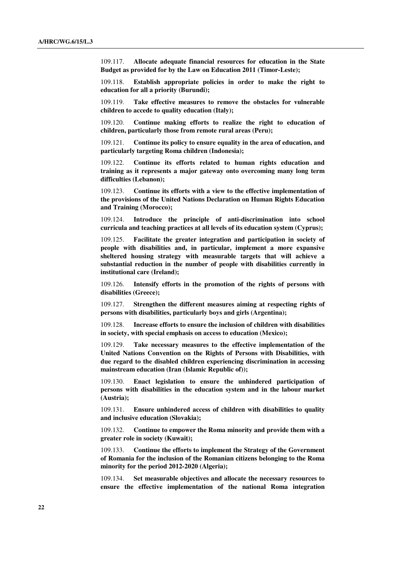109.117. **Allocate adequate financial resources for education in the State Budget as provided for by the Law on Education 2011 (Timor-Leste);** 

109.118. **Establish appropriate policies in order to make the right to education for all a priority (Burundi);** 

109.119. **Take effective measures to remove the obstacles for vulnerable children to accede to quality education (Italy);** 

109.120. **Continue making efforts to realize the right to education of children, particularly those from remote rural areas (Peru);** 

109.121. **Continue its policy to ensure equality in the area of education, and particularly targeting Roma children (Indonesia);** 

109.122. **Continue its efforts related to human rights education and training as it represents a major gateway onto overcoming many long term difficulties (Lebanon);** 

109.123. **Continue its efforts with a view to the effective implementation of the provisions of the United Nations Declaration on Human Rights Education and Training (Morocco);** 

109.124. **Introduce the principle of anti-discrimination into school curricula and teaching practices at all levels of its education system (Cyprus);** 

109.125. **Facilitate the greater integration and participation in society of people with disabilities and, in particular, implement a more expansive sheltered housing strategy with measurable targets that will achieve a substantial reduction in the number of people with disabilities currently in institutional care (Ireland);** 

109.126. **Intensify efforts in the promotion of the rights of persons with disabilities (Greece);** 

109.127. **Strengthen the different measures aiming at respecting rights of persons with disabilities, particularly boys and girls (Argentina);** 

109.128. **Increase efforts to ensure the inclusion of children with disabilities in society, with special emphasis on access to education (Mexico);** 

109.129. **Take necessary measures to the effective implementation of the United Nations Convention on the Rights of Persons with Disabilities, with due regard to the disabled children experiencing discrimination in accessing mainstream education (Iran (Islamic Republic of));** 

109.130. **Enact legislation to ensure the unhindered participation of persons with disabilities in the education system and in the labour market (Austria);** 

109.131. **Ensure unhindered access of children with disabilities to quality and inclusive education (Slovakia);** 

109.132. **Continue to empower the Roma minority and provide them with a greater role in society (Kuwait);** 

109.133. **Continue the efforts to implement the Strategy of the Government of Romania for the inclusion of the Romanian citizens belonging to the Roma minority for the period 2012-2020 (Algeria);** 

109.134. **Set measurable objectives and allocate the necessary resources to ensure the effective implementation of the national Roma integration**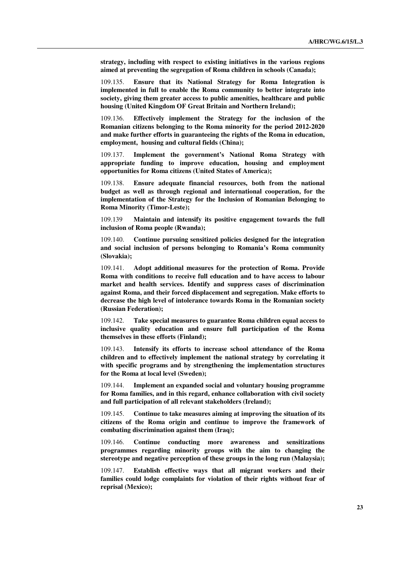**strategy, including with respect to existing initiatives in the various regions aimed at preventing the segregation of Roma children in schools (Canada);** 

109.135. **Ensure that its National Strategy for Roma Integration is implemented in full to enable the Roma community to better integrate into society, giving them greater access to public amenities, healthcare and public housing (United Kingdom OF Great Britain and Northern Ireland);** 

109.136. **Effectively implement the Strategy for the inclusion of the Romanian citizens belonging to the Roma minority for the period 2012-2020 and make further efforts in guaranteeing the rights of the Roma in education, employment, housing and cultural fields (China);** 

109.137. **Implement the government's National Roma Strategy with appropriate funding to improve education, housing and employment opportunities for Roma citizens (United States of America);** 

109.138. **Ensure adequate financial resources, both from the national budget as well as through regional and international cooperation, for the implementation of the Strategy for the Inclusion of Romanian Belonging to Roma Minority (Timor-Leste);** 

109.139 **Maintain and intensify its positive engagement towards the full inclusion of Roma people (Rwanda);** 

109.140. **Continue pursuing sensitized policies designed for the integration and social inclusion of persons belonging to Romania's Roma community (Slovakia);** 

109.141. **Adopt additional measures for the protection of Roma. Provide Roma with conditions to receive full education and to have access to labour market and health services. Identify and suppress cases of discrimination against Roma, and their forced displacement and segregation. Make efforts to decrease the high level of intolerance towards Roma in the Romanian society (Russian Federation);** 

109.142. **Take special measures to guarantee Roma children equal access to inclusive quality education and ensure full participation of the Roma themselves in these efforts (Finland);** 

109.143. **Intensify its efforts to increase school attendance of the Roma children and to effectively implement the national strategy by correlating it with specific programs and by strengthening the implementation structures for the Roma at local level (Sweden);** 

109.144. **Implement an expanded social and voluntary housing programme for Roma families, and in this regard, enhance collaboration with civil society and full participation of all relevant stakeholders (Ireland);** 

109.145. **Continue to take measures aiming at improving the situation of its citizens of the Roma origin and continue to improve the framework of combating discrimination against them (Iraq);** 

109.146. **Continue conducting more awareness and sensitizations programmes regarding minority groups with the aim to changing the stereotype and negative perception of these groups in the long run (Malaysia);** 

109.147. **Establish effective ways that all migrant workers and their families could lodge complaints for violation of their rights without fear of reprisal (Mexico);**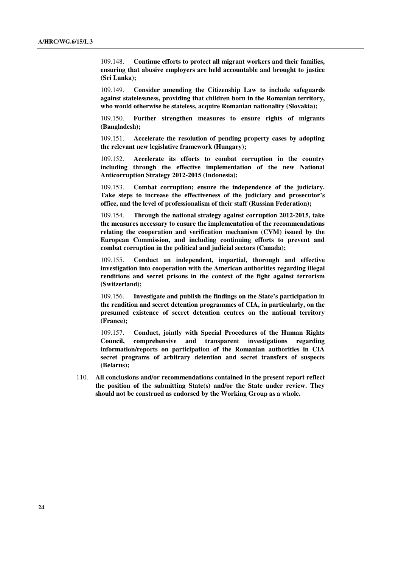109.148. **Continue efforts to protect all migrant workers and their families, ensuring that abusive employers are held accountable and brought to justice (Sri Lanka);** 

109.149. **Consider amending the Citizenship Law to include safeguards against statelessness, providing that children born in the Romanian territory, who would otherwise be stateless, acquire Romanian nationality (Slovakia);** 

109.150. **Further strengthen measures to ensure rights of migrants (Bangladesh);** 

109.151. **Accelerate the resolution of pending property cases by adopting the relevant new legislative framework (Hungary);** 

109.152. **Accelerate its efforts to combat corruption in the country including through the effective implementation of the new National Anticorruption Strategy 2012-2015 (Indonesia);** 

109.153. **Combat corruption; ensure the independence of the judiciary. Take steps to increase the effectiveness of the judiciary and prosecutor's office, and the level of professionalism of their staff (Russian Federation);** 

109.154. **Through the national strategy against corruption 2012-2015, take the measures necessary to ensure the implementation of the recommendations relating the cooperation and verification mechanism (CVM) issued by the European Commission, and including continuing efforts to prevent and combat corruption in the political and judicial sectors (Canada);** 

109.155. **Conduct an independent, impartial, thorough and effective investigation into cooperation with the American authorities regarding illegal renditions and secret prisons in the context of the fight against terrorism (Switzerland);** 

109.156. **Investigate and publish the findings on the State's participation in the rendition and secret detention programmes of CIA, in particularly, on the presumed existence of secret detention centres on the national territory (France);** 

109.157. **Conduct, jointly with Special Procedures of the Human Rights Council, comprehensive and transparent investigations regarding information/reports on participation of the Romanian authorities in CIA secret programs of arbitrary detention and secret transfers of suspects (Belarus);** 

110. **All conclusions and/or recommendations contained in the present report reflect the position of the submitting State(s) and/or the State under review. They should not be construed as endorsed by the Working Group as a whole.**